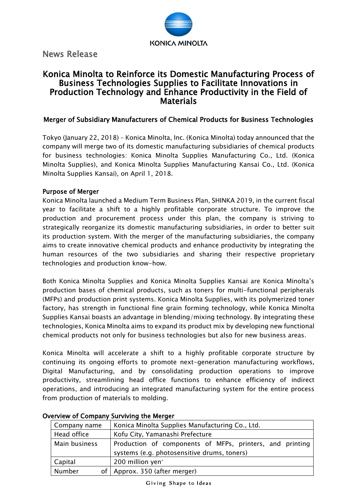

News Release

# Konica Minolta to Reinforce its Domestic Manufacturing Process of Business Technologies Supplies to Facilitate Innovations in Production Technology and Enhance Productivity in the Field of Materials

### Merger of Subsidiary Manufacturers of Chemical Products for Business Technologies

Tokyo (January 22, 2018) – Konica Minolta, Inc. (Konica Minolta) today announced that the company will merge two of its domestic manufacturing subsidiaries of chemical products for business technologies: Konica Minolta Supplies Manufacturing Co., Ltd. (Konica Minolta Supplies), and Konica Minolta Supplies Manufacturing Kansai Co., Ltd. (Konica Minolta Supplies Kansai), on April 1, 2018.

#### Purpose of Merger

Konica Minolta launched a Medium Term Business Plan, SHINKA 2019, in the current fiscal year to facilitate a shift to a highly profitable corporate structure. To improve the production and procurement process under this plan, the company is striving to strategically reorganize its domestic manufacturing subsidiaries, in order to better suit its production system. With the merger of the manufacturing subsidiaries, the company aims to create innovative chemical products and enhance productivity by integrating the human resources of the two subsidiaries and sharing their respective proprietary technologies and production know-how.

Both Konica Minolta Supplies and Konica Minolta Supplies Kansai are Konica Minolta's production bases of chemical products, such as toners for multi-functional peripherals (MFPs) and production print systems. Konica Minolta Supplies, with its polymerized toner factory, has strength in functional fine grain forming technology, while Konica Minolta Supplies Kansai boasts an advantage in blending/mixing technology. By integrating these technologies, Konica Minolta aims to expand its product mix by developing new functional chemical products not only for business technologies but also for new business areas.

Konica Minolta will accelerate a shift to a highly profitable corporate structure by continuing its ongoing efforts to promote next-generation manufacturing workflows, Digital Manufacturing, and by consolidating production operations to improve productivity, streamlining head office functions to enhance efficiency of indirect operations, and introducing an integrated manufacturing system for the entire process from production of materials to molding.

| Company name  | Konica Minolta Supplies Manufacturing Co., Ltd.          |
|---------------|----------------------------------------------------------|
| Head office   | Kofu City, Yamanashi Prefecture                          |
| Main business | Production of components of MFPs, printers, and printing |
|               | systems (e.g. photosensitive drums, toners)              |
| Capital       | 200 million yen*                                         |
| Number        | of   Approx. 350 (after merger)                          |

#### Overview of Company Surviving the Merger